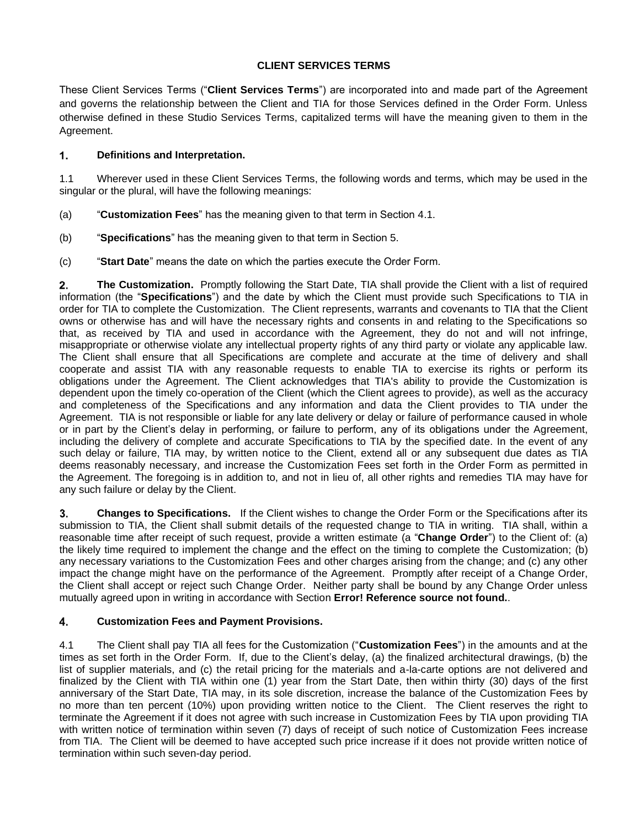## **CLIENT SERVICES TERMS**

These Client Services Terms ("**Client Services Terms**") are incorporated into and made part of the Agreement and governs the relationship between the Client and TIA for those Services defined in the Order Form. Unless otherwise defined in these Studio Services Terms, capitalized terms will have the meaning given to them in the Agreement.

## 1. **Definitions and Interpretation.**

1.1 Wherever used in these Client Services Terms, the following words and terms, which may be used in the singular or the plural, will have the following meanings:

- (a) "**Customization Fees**" has the meaning given to that term in Section [4.1.](#page-0-0)
- (b) "**Specifications**" has the meaning given to that term in Section [5.](#page-1-0)
- (c) "**Start Date**" means the date on which the parties execute the Order Form.

2. **The Customization.** Promptly following the Start Date, TIA shall provide the Client with a list of required information (the "**Specifications**") and the date by which the Client must provide such Specifications to TIA in order for TIA to complete the Customization. The Client represents, warrants and covenants to TIA that the Client owns or otherwise has and will have the necessary rights and consents in and relating to the Specifications so that, as received by TIA and used in accordance with the Agreement, they do not and will not infringe, misappropriate or otherwise violate any intellectual property rights of any third party or violate any applicable law. The Client shall ensure that all Specifications are complete and accurate at the time of delivery and shall cooperate and assist TIA with any reasonable requests to enable TIA to exercise its rights or perform its obligations under the Agreement. The Client acknowledges that TIA's ability to provide the Customization is dependent upon the timely co-operation of the Client (which the Client agrees to provide), as well as the accuracy and completeness of the Specifications and any information and data the Client provides to TIA under the Agreement. TIA is not responsible or liable for any late delivery or delay or failure of performance caused in whole or in part by the Client's delay in performing, or failure to perform, any of its obligations under the Agreement, including the delivery of complete and accurate Specifications to TIA by the specified date. In the event of any such delay or failure, TIA may, by written notice to the Client, extend all or any subsequent due dates as TIA deems reasonably necessary, and increase the Customization Fees set forth in the Order Form as permitted in the Agreement. The foregoing is in addition to, and not in lieu of, all other rights and remedies TIA may have for any such failure or delay by the Client.

3. **Changes to Specifications.** If the Client wishes to change the Order Form or the Specifications after its submission to TIA, the Client shall submit details of the requested change to TIA in writing. TIA shall, within a reasonable time after receipt of such request, provide a written estimate (a "**Change Order**") to the Client of: (a) the likely time required to implement the change and the effect on the timing to complete the Customization; (b) any necessary variations to the Customization Fees and other charges arising from the change; and (c) any other impact the change might have on the performance of the Agreement. Promptly after receipt of a Change Order, the Client shall accept or reject such Change Order. Neither party shall be bound by any Change Order unless mutually agreed upon in writing in accordance with Section **Error! Reference source not found.**.

## 4. **Customization Fees and Payment Provisions.**

<span id="page-0-0"></span>4.1 The Client shall pay TIA all fees for the Customization ("**Customization Fees**") in the amounts and at the times as set forth in the Order Form. If, due to the Client's delay, (a) the finalized architectural drawings, (b) the list of supplier materials, and (c) the retail pricing for the materials and a-la-carte options are not delivered and finalized by the Client with TIA within one (1) year from the Start Date, then within thirty (30) days of the first anniversary of the Start Date, TIA may, in its sole discretion, increase the balance of the Customization Fees by no more than ten percent (10%) upon providing written notice to the Client. The Client reserves the right to terminate the Agreement if it does not agree with such increase in Customization Fees by TIA upon providing TIA with written notice of termination within seven (7) days of receipt of such notice of Customization Fees increase from TIA. The Client will be deemed to have accepted such price increase if it does not provide written notice of termination within such seven-day period.